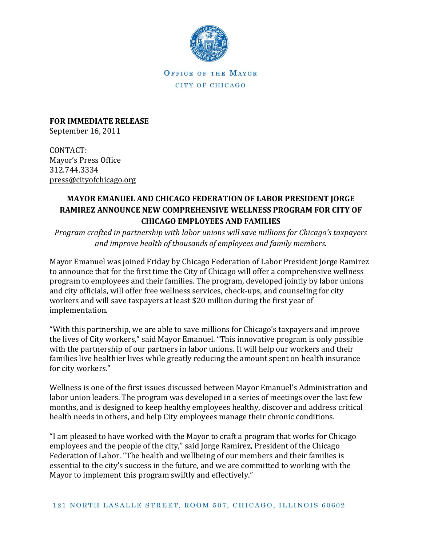

OFFICE OF THE MAYOR CITY OF CHICAGO

**FOR IMMEDIATE RELEASE** September 16, 2011

CONTACT: Mayor's Press Office 312.744.3334 [press@cityofchicago.org](mailto:press@cityofchicago.org)

## **MAYOR EMANUEL AND CHICAGO FEDERATION OF LABOR PRESIDENT JORGE RAMIREZ ANNOUNCE NEW COMPREHENSIVE WELLNESS PROGRAM FOR CITY OF CHICAGO EMPLOYEES AND FAMILIES**

*Program crafted in partnership with labor unions will save millions for Chicago's taxpayers and improve health of thousands of employees and family members.*

Mayor Emanuel was joined Friday by Chicago Federation of Labor President Jorge Ramirez to announce that for the first time the City of Chicago will offer a comprehensive wellness program to employees and their families. The program, developed jointly by labor unions and city officials, will offer free wellness services, check-ups, and counseling for city workers and will save taxpayers at least \$20 million during the first year of implementation.

"With this partnership, we are able to save millions for Chicago's taxpayers and improve the lives of City workers," said Mayor Emanuel. "This innovative program is only possible with the partnership of our partners in labor unions. It will help our workers and their families live healthier lives while greatly reducing the amount spent on health insurance for city workers."

Wellness is one of the first issues discussed between Mayor Emanuel's Administration and labor union leaders. The program was developed in a series of meetings over the last few months, and is designed to keep healthy employees healthy, discover and address critical health needs in others, and help City employees manage their chronic conditions.

"I am pleased to have worked with the Mayor to craft a program that works for Chicago employees and the people of the city," said Jorge Ramirez, President of the Chicago Federation of Labor. "The health and wellbeing of our members and their families is essential to the city's success in the future, and we are committed to working with the Mayor to implement this program swiftly and effectively."